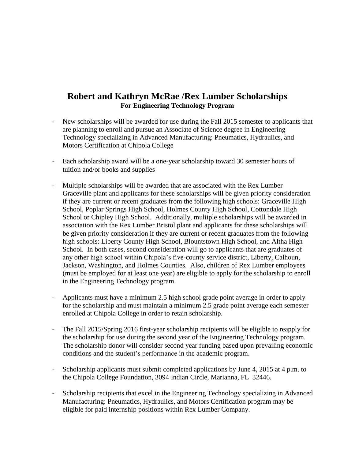## **Robert and Kathryn McRae /Rex Lumber Scholarships For Engineering Technology Program**

- New scholarships will be awarded for use during the Fall 2015 semester to applicants that are planning to enroll and pursue an Associate of Science degree in Engineering Technology specializing in Advanced Manufacturing: Pneumatics, Hydraulics, and Motors Certification at Chipola College
- Each scholarship award will be a one-year scholarship toward 30 semester hours of tuition and/or books and supplies
- Multiple scholarships will be awarded that are associated with the Rex Lumber Graceville plant and applicants for these scholarships will be given priority consideration if they are current or recent graduates from the following high schools: Graceville High School, Poplar Springs High School, Holmes County High School, Cottondale High School or Chipley High School. Additionally, multiple scholarships will be awarded in association with the Rex Lumber Bristol plant and applicants for these scholarships will be given priority consideration if they are current or recent graduates from the following high schools: Liberty County High School, Blountstown High School, and Altha High School. In both cases, second consideration will go to applicants that are graduates of any other high school within Chipola's five-county service district, Liberty, Calhoun, Jackson, Washington, and Holmes Counties. Also, children of Rex Lumber employees (must be employed for at least one year) are eligible to apply for the scholarship to enroll in the Engineering Technology program.
- Applicants must have a minimum 2.5 high school grade point average in order to apply for the scholarship and must maintain a minimum 2.5 grade point average each semester enrolled at Chipola College in order to retain scholarship.
- The Fall 2015/Spring 2016 first-year scholarship recipients will be eligible to reapply for the scholarship for use during the second year of the Engineering Technology program. The scholarship donor will consider second year funding based upon prevailing economic conditions and the student's performance in the academic program.
- Scholarship applicants must submit completed applications by June 4, 2015 at 4 p.m. to the Chipola College Foundation, 3094 Indian Circle, Marianna, FL 32446.
- Scholarship recipients that excel in the Engineering Technology specializing in Advanced Manufacturing: Pneumatics, Hydraulics, and Motors Certification program may be eligible for paid internship positions within Rex Lumber Company.